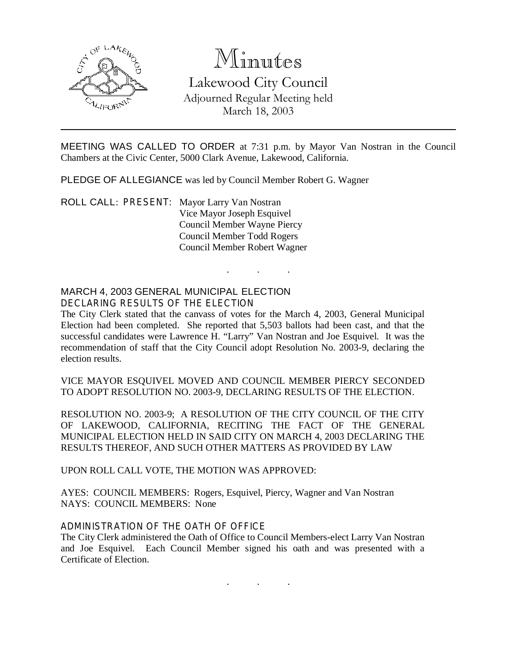

# Minutes

Lakewood City Council Adjourned Regular Meeting held March 18, 2003

MEETING WAS CALLED TO ORDER at 7:31 p.m. by Mayor Van Nostran in the Council Chambers at the Civic Center, 5000 Clark Avenue, Lakewood, California.

. . .

PLEDGE OF ALLEGIANCE was led by Council Member Robert G. Wagner

ROLL CALL: PRESENT: Mayor Larry Van Nostran Vice Mayor Joseph Esquivel Council Member Wayne Piercy Council Member Todd Rogers Council Member Robert Wagner

# MARCH 4, 2003 GENERAL MUNICIPAL ELECTION DECLARING RESULTS OF THE ELECTION

The City Clerk stated that the canvass of votes for the March 4, 2003, General Municipal Election had been completed. She reported that 5,503 ballots had been cast, and that the successful candidates were Lawrence H. "Larry" Van Nostran and Joe Esquivel. It was the recommendation of staff that the City Council adopt Resolution No. 2003-9, declaring the election results.

VICE MAYOR ESQUIVEL MOVED AND COUNCIL MEMBER PIERCY SECONDED TO ADOPT RESOLUTION NO. 2003-9, DECLARING RESULTS OF THE ELECTION.

RESOLUTION NO. 2003-9; A RESOLUTION OF THE CITY COUNCIL OF THE CITY OF LAKEWOOD, CALIFORNIA, RECITING THE FACT OF THE GENERAL MUNICIPAL ELECTION HELD IN SAID CITY ON MARCH 4, 2003 DECLARING THE RESULTS THEREOF, AND SUCH OTHER MATTERS AS PROVIDED BY LAW

UPON ROLL CALL VOTE, THE MOTION WAS APPROVED:

AYES: COUNCIL MEMBERS: Rogers, Esquivel, Piercy, Wagner and Van Nostran NAYS: COUNCIL MEMBERS: None

#### ADMINISTRATION OF THE OATH OF OFFICE

The City Clerk administered the Oath of Office to Council Members-elect Larry Van Nostran and Joe Esquivel. Each Council Member signed his oath and was presented with a Certificate of Election.

. . .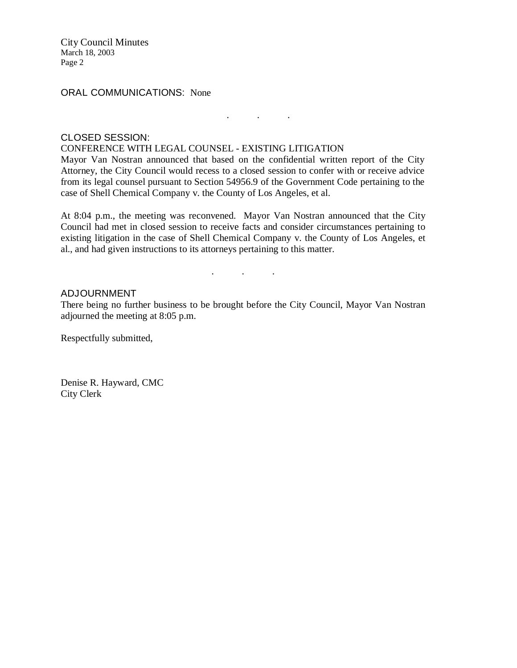City Council Minutes March 18, 2003 Page 2

ORAL COMMUNICATIONS: None

## CLOSED SESSION:

## CONFERENCE WITH LEGAL COUNSEL - EXISTING LITIGATION

Mayor Van Nostran announced that based on the confidential written report of the City Attorney, the City Council would recess to a closed session to confer with or receive advice from its legal counsel pursuant to Section 54956.9 of the Government Code pertaining to the case of Shell Chemical Company v. the County of Los Angeles, et al.

. . .

At 8:04 p.m., the meeting was reconvened. Mayor Van Nostran announced that the City Council had met in closed session to receive facts and consider circumstances pertaining to existing litigation in the case of Shell Chemical Company v. the County of Los Angeles, et al., and had given instructions to its attorneys pertaining to this matter.

. . .

#### ADJOURNMENT

There being no further business to be brought before the City Council, Mayor Van Nostran adjourned the meeting at 8:05 p.m.

Respectfully submitted,

Denise R. Hayward, CMC City Clerk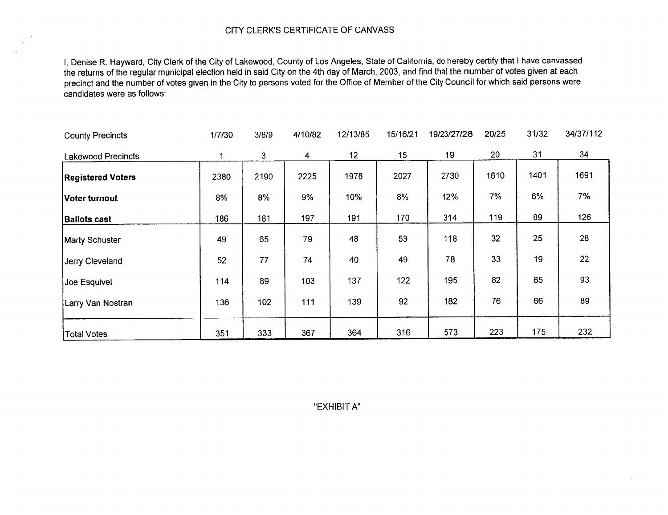I, Denise R. Hayward, City Clerk of the City of Lakewood, County of Los Angeles, State of California, do hereby certify that <sup>I</sup> have canvassed the returns of the regular municipal election held in said City on the 4th day of March, 2003, and find that the number of votes given at each precinct and the number of votes given in the City to persons voted for the Office of Member of the City Council for which said persons were candidates were as follows:

| <b>County Precincts</b>   | 1/7/30 | 3/8/9 | 4/10/82 | 12/13/85        | 15/16/21 | 19/23/27/28 | 20/25 | 31/32 | 34/37/112 |
|---------------------------|--------|-------|---------|-----------------|----------|-------------|-------|-------|-----------|
| <b>Lakewood Precincts</b> |        | 3     | 4       | 12 <sub>2</sub> | 15       | 19          | 20    | 31    | 34        |
| <b>Registered Voters</b>  | 2380   | 2190  | 2225    | 1978            | 2027     | 2730        | 1610  | 1401  | 1691      |
| Voter turnout             | 8%     | 8%    | 9%      | 10%             | 8%       | 12%         | 7%    | 6%    | 7%        |
| <b>Ballots cast</b>       | 186    | 181   | 197     | 191             | 170      | 314         | 119   | 89    | 126       |
| <b>Marty Schuster</b>     | 49     | 65    | 79      | 48              | 53       | 118         | 32    | 25    | 28        |
| Jerry Cleveland           | 52     | 77    | 74      | 40              | 49       | 78          | 33    | 19    | 22        |
| Joe Esquivel              | 114    | 89    | 103     | 137             | 122      | 195         | 82    | 65    | 93        |
| Larry Van Nostran         | 136    | 102   | 111     | 139             | 92       | 182         | 76    | 66    | 89        |
| <b>Total Votes</b>        | 351    | 333   | 367     | 364             | 316      | 573         | 223   | 175   | 232       |

EXHIBIT A"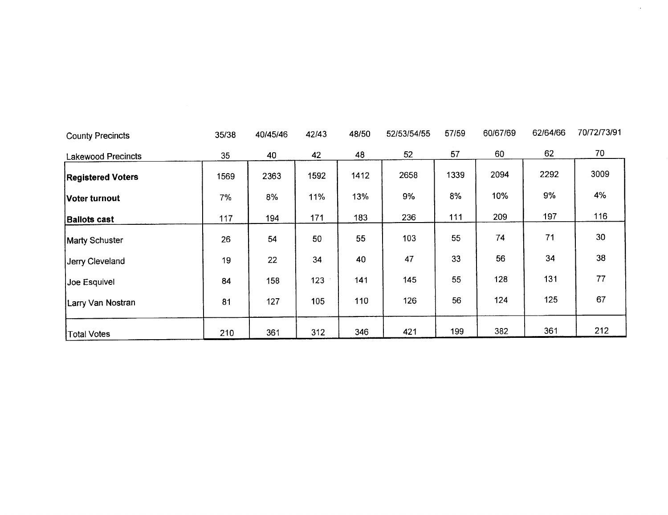| <b>County Precincts</b>   | 35/38 | 40/45/46 | 42/43 | 48/50 | 52/53/54/55 | 57/59 | 60/67/69 | 62/64/66 | 70/72/73/91 |
|---------------------------|-------|----------|-------|-------|-------------|-------|----------|----------|-------------|
| <b>Lakewood Precincts</b> | 35    | 40       | 42    | 48    | 52          | 57    | 60       | 62       | 70          |
| <b>Registered Voters</b>  | 1569  | 2363     | 1592  | 1412  | 2658        | 1339  | 2094     | 2292     | 3009        |
| Voter turnout             | 7%    | 8%       | 11%   | 13%   | 9%          | 8%    | 10%      | 9%       | 4%          |
| <b>Ballots cast</b>       | 117   | 194      | 171   | 183   | 236         | 111   | 209      | 197      | 116         |
| Marty Schuster            | 26    | 54       | 50    | 55    | 103         | 55    | 74       | 71       | 30          |
| Jerry Cleveland           | 19    | 22       | 34    | 40    | 47          | 33    | 56       | 34       | 38          |
| Joe Esquivel              | 84    | 158      | 123   | 141   | 145         | 55    | 128      | 131      | 77          |
| Larry Van Nostran         | 81    | 127      | 105   | 110   | 126         | 56    | 124      | 125      | 67          |
| Total Votes               | 210   | 361      | 312   | 346   | 421         | 199   | 382      | 361      | 212         |

 $\mathcal{L}^{\text{max}}$